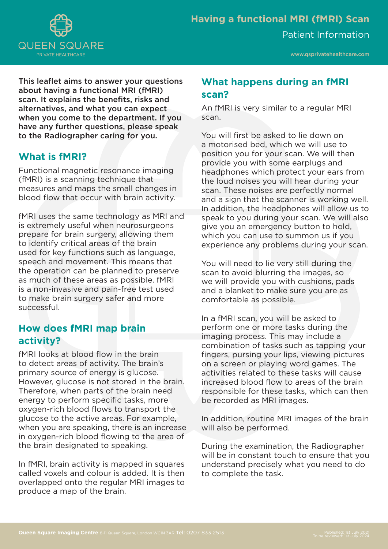

This leaflet aims to answer your questions about having a functional MRI (fMRI) scan. It explains the benefits, risks and alternatives, and what you can expect when you come to the department. If you have any further questions, please speak to the Radiographer caring for you.

## **What is fMRI?**

Functional magnetic resonance imaging (fMRI) is a scanning technique that measures and maps the small changes in blood flow that occur with brain activity.

fMRI uses the same technology as MRI and is extremely useful when neurosurgeons prepare for brain surgery, allowing them to identify critical areas of the brain used for key functions such as language, speech and movement. This means that the operation can be planned to preserve as much of these areas as possible. fMRI is a non-invasive and pain-free test used to make brain surgery safer and more successful.

# **How does fMRI map brain activity?**

fMRI looks at blood flow in the brain to detect areas of activity. The brain's primary source of energy is glucose. However, glucose is not stored in the brain. Therefore, when parts of the brain need energy to perform specific tasks, more oxygen-rich blood flows to transport the glucose to the active areas. For example, when you are speaking, there is an increase in oxygen-rich blood flowing to the area of the brain designated to speaking.

In fMRI, brain activity is mapped in squares called voxels and colour is added. It is then overlapped onto the regular MRI images to produce a map of the brain.

# **What happens during an fMRI scan?**

An fMRI is very similar to a regular MRI scan.

You will first be asked to lie down on a motorised bed, which we will use to position you for your scan. We will then provide you with some earplugs and headphones which protect your ears from the loud noises you will hear during your scan. These noises are perfectly normal and a sign that the scanner is working well. In addition, the headphones will allow us to speak to you during your scan. We will also give you an emergency button to hold, which you can use to summon us if you experience any problems during your scan.

You will need to lie very still during the scan to avoid blurring the images, so we will provide you with cushions, pads and a blanket to make sure you are as comfortable as possible.

In a fMRI scan, you will be asked to perform one or more tasks during the imaging process. This may include a combination of tasks such as tapping your fingers, pursing your lips, viewing pictures on a screen or playing word games. The activities related to these tasks will cause increased blood flow to areas of the brain responsible for these tasks, which can then be recorded as MRI images.

In addition, routine MRI images of the brain will also be performed.

During the examination, the Radiographer will be in constant touch to ensure that you understand precisely what you need to do to complete the task.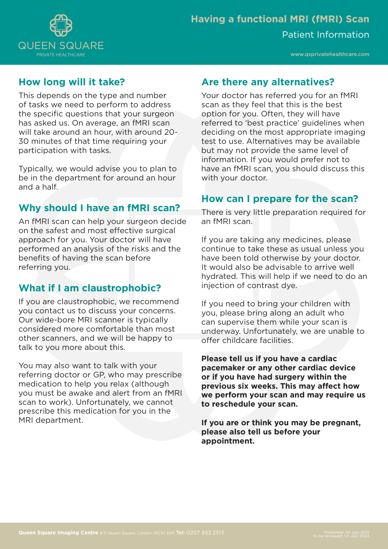

www.qsprivatehealthcare.com

# **How long will it take?**

This depends on the type and number of tasks we need to perform to address the specific questions that your surgeon has asked us. On average, an fMRI scan will take around an hour, with around 20- 30 minutes of that time requiring your participation with tasks.

Typically, we would advise you to plan to be in the department for around an hour and a half.

# **Why should I have an fMRI scan?**

An fMRI scan can help your surgeon decide on the safest and most effective surgical approach for you. Your doctor will have performed an analysis of the risks and the benefits of having the scan before referring you.

# **What if I am claustrophobic?**

If you are claustrophobic, we recommend you contact us to discuss your concerns. Our wide-bore MRI scanner is typically considered more comfortable than most other scanners, and we will be happy to talk to you more about this.

You may also want to talk with your referring doctor or GP, who may prescribe medication to help you relax (although you must be awake and alert from an fMRI scan to work). Unfortunately, we cannot prescribe this medication for you in the MRI department.

## **Are there any alternatives?**

Your doctor has referred you for an fMRI scan as they feel that this is the best option for you. Often, they will have referred to 'best practice' guidelines when deciding on the most appropriate imaging test to use. Alternatives may be available but may not provide the same level of information. If you would prefer not to have an fMRI scan, you should discuss this with your doctor.

## **How can I prepare for the scan?**

There is very little preparation required for an fMRI scan.

If you are taking any medicines, please continue to take these as usual unless you have been told otherwise by your doctor. It would also be advisable to arrive well hydrated. This will help if we need to do an injection of contrast dye.

If you need to bring your children with you, please bring along an adult who can supervise them while your scan is underway. Unfortunately, we are unable to offer childcare facilities.

**Please tell us if you have a cardiac pacemaker or any other cardiac device or if you have had surgery within the previous six weeks. This may affect how we perform your scan and may require us to reschedule your scan.** 

**If you are or think you may be pregnant, please also tell us before your appointment.**